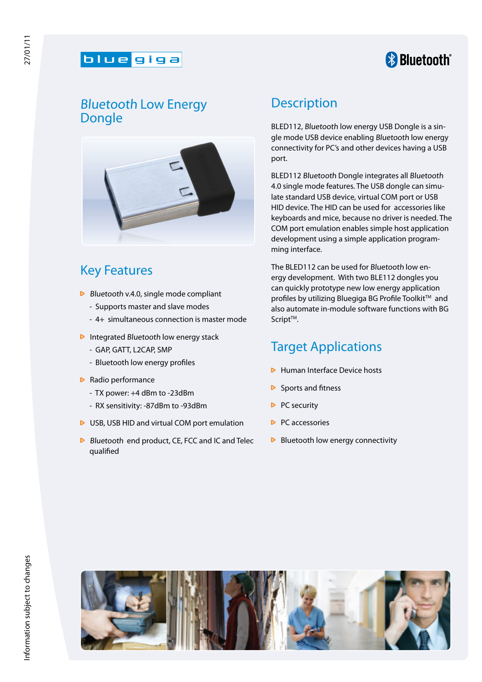#### blue giga

# **& Bluetooth**®

### Bluetooth Low Energy Dongle



## Key Features

- $\triangleright$  Bluetooth v.4.0, single mode compliant
	- Supports master and slave modes
	- 4+ simultaneous connection is master mode
- $\triangleright$  Integrated Bluetooth low energy stack
	- GAP, GATT, L2CAP, SMP
	- Bluetooth low energy profiles
- $\triangleright$  Radio performance
	- TX power: +4 dBm to -23dBm
	- RX sensitivity: -87dBm to -93dBm
- ▶ USB, USB HID and virtual COM port emulation
- $\triangleright$  Bluetooth end product, CE, FCC and IC and Telec qualified

#### **Description**

BLED112, Bluetooth low energy USB Dongle is a single mode USB device enabling Bluetooth low energy connectivity for PC's and other devices having a USB port.

BLED112 Bluetooth Dongle integrates all Bluetooth 4.0 single mode features. The USB dongle can simulate standard USB device, virtual COM port or USB HID device. The HID can be used for accessories like keyboards and mice, because no driver is needed. The COM port emulation enables simple host application development using a simple application programming interface.

The BLED112 can be used for Bluetooth low energy development. With two BLE112 dongles you can quickly prototype new low energy application profiles by utilizing Bluegiga BG Profile Toolkit™ and also automate in-module software functions with BG Script<sup>™</sup>.

### Target Applications

- $\triangleright$  Human Interface Device hosts
- $\triangleright$  Sports and fitness
- $\triangleright$  PC security
- $\triangleright$  PC accessories
- $\triangleright$  Bluetooth low energy connectivity